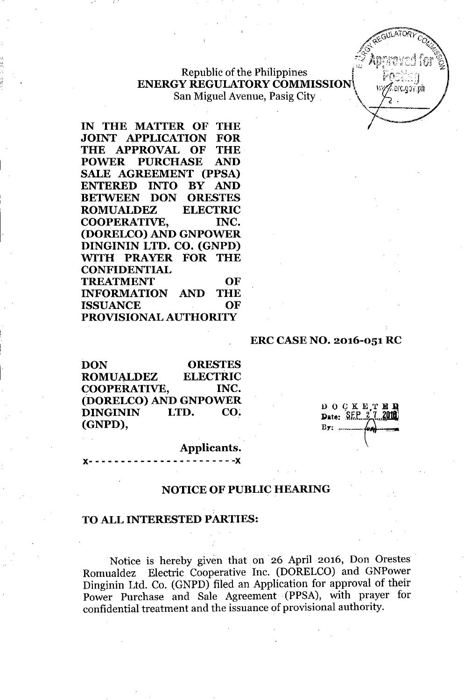### Republic of the Philippines **ENERGY REGULATORY COMMISSION** San Miguel Avenue, Pasig City

**IN THE MATTER OF THE JOINT APPLICATION FOR THE APPROVAL OF THE POWER PURCHASE AND SALE AGREEMENT (PPSA) ENTERED INTO BY AND BETWEEN DON ORESTES ROMUALDEZ ELECTRIC COOPERATIVE, INC. (DORELCO) AND GNPOWER DINGININ LTD. CO. (GNPD)** ~TH **PRAYER FOR THE CONFIDENTIAL TREATMENT OF INFORMATION AND THE ISSUANCE OF PROVISIONAL AUTHORITY**

#### **ERC CASENO. 2016-051 RC**

**DON ORESTES ROMUALDEZ ELECTRIC COOPERATIVE, INC. (DORELCO) AND GNPOWER DINGININ LTD. CO. (GNPD),**

D O C K E T E D<br>Date: SEP 27 2018

orlaw dh

#### **Applicants.**

**J(- - - - - - - - - - - - - - - - - - - - - --J(**

### **NOTICE OF PUBLIC HEARING**

#### **TOALLINTERESTED PARTIES:**

Notice is hereby given that on 26 April 2016, Don Orestes. Romualdez Electric Cooperative Inc. (DORELCO) and GNPower Dinginin Ltd. Co. (GNPD) filed an Application for approval of their Power Purchase and Sale Agreement (PPSA), with prayer for confidential treatment and the issuance of provisional authority.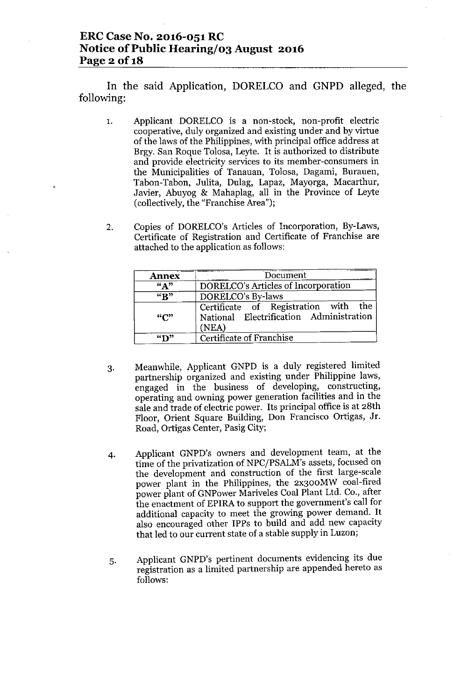## **ERC Case No. 2016-051 RC Notice** of Public Hearing/03 August 2016 **Page 2 Of1S**

In the said Application, DORELCO and GNPD alleged, the following:

- 1. Applicant DORELCO is a non-stock, non-profit electric cooperative, duly organized and existing under and by virtue of the laws of the Philippines, with principal office address at Brgy. San Roque Tolosa, Leyte. It is authorized to distribute and provide electricity services to its member-consumers in the Municipalities of Tanauan, Tolosa, Dagami, Burauen, Tabon- Tabon, Julita, Dulag, Lapaz, Mayorga, Macarthur, Javier, Abuyog & Mahaplag, all in the Province of Leyte (collectively, the "Franchise Area");
- 2. Copies of DORELCO's Articles of Incorporation, By-Laws, Certificate of Registration and Certificate of Franchise are attached to the application as follows:

| <b>Annex</b>             | Document                                                                                 |  |  |
|--------------------------|------------------------------------------------------------------------------------------|--|--|
| $\sqrt{A}$ <sup>33</sup> | DORELCO's Articles of Incorporation                                                      |  |  |
| $\overline{R}$           | DORELCO's By-laws                                                                        |  |  |
| ``C"                     | Certificate of Registration with the<br>National Electrification Administration<br>(NEA) |  |  |
| $\mathbf{``T}$           | Certificate of Franchise                                                                 |  |  |

- 3. Meanwhile, Applicant GNPD is a duly registered limited partnership organized and existing under Philippine laws, engaged in the business of developing, constructing, operating and owning power generation facilities and in the sale and trade of electric power. Its principal office is at 28th Floor, Orient Square Building, Don Francisco Ortigas, Jr. Road, Ortigas Center, Pasig City;
- 4. Applicant GNPD's owners and development team, at the time of the privatization of NPC/PSALM's assets, focused on the development and construction of the first large-scale power plant in the Philippines, the 2x300MW coal-fired power plant of GNPower Mariveles Coal Plant Ltd. Co., after the enactment of EPIRA to support the government's call for additional capacity to meet the growing power demand. It also encouraged other IPPs to build and add new capacity that led to our current state of a stable supply in Luzon;
- 5. Applicant GNPD's pertinent documents evidencing its due registration as a limited partnership are appended hereto as follows: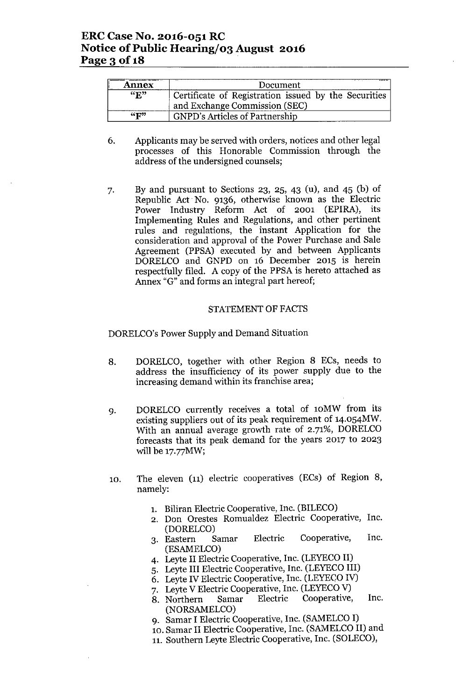| <b>Annex</b>                | Document                                             |  |  |
|-----------------------------|------------------------------------------------------|--|--|
| $\mathbf{w}$                | Certificate of Registration issued by the Securities |  |  |
|                             | and Exchange Commission (SEC)                        |  |  |
| $\mathbf{H}^{\prime\prime}$ | <b>GNPD's Articles of Partnership</b>                |  |  |

- 6. Applicants may be served with orders, notices and other legal processes of this Honorable Commission through the address of the undersigned counsels;
- 7. By and pursuant to Sections 23, 25, 43 (u), and 45 (b) of Republic Act. No. 9136, otherwise known as the Electric Power Industry Reform Act of 2001 (EPlRA), its Implementing Rules and Regulations, and other pertinent rules and regulations, the instant Application for the consideration and approval of the Power Purchase and Sale Agreement (PPSA) executed by and between Applicants DORELCO and GNPD on 16 December 2015 is herein respectfully filed. A copy of the PPSA is hereto attached as Annex "G" and forms an integral part hereof;

#### STATEMENTOF FACTS

DORELCO's Power Supply and Demand Situation

- 8. DORELCO, together with other Region 8 ECs, needs to address the insufficiency of its power supply due to the increasing demand within its franchise area;
- 9. DORELCO currently receives a total of lOMW from its existing suppliers out of its peak requirement of 14.054MW. With an annual average growth rate of 2.71%, DORELCO forecasts that its peak demand for the years 2017 to 2023 will be 17.77MW;
- 10. The eleven (11) electric cooperatives (ECs) of Region 8, namely:
	- 1. Biliran Electric Cooperative, Inc. (BILECO)
	- 2. Don Orestes Romualdez Electric Cooperative, Inc. (DORELCO)
	- 3. Eastern Samar Electric Cooperative, Inc. (ESAMELCO)
	- 4. Leyte II Electric Cooperative, Inc. (LEYECO II)
	- 5. Leyte III Electric Cooperative, Inc. (LEYECO III)
	- 6. Leyte IV Electric Cooperative, Inc. (LEYECO IV)
	- 7. Leyte V Electric Cooperative, Inc. (LEYECO V)<br>8. Northern Samar Electric Cooperative,
	- 8. Northern Samar Electric Cooperative, Inc. (NORSAMELCO)
	- 9. Samar I Electric Cooperative, Inc. (SAMELCO I)
	- 10. Samar II Electric Cooperative, Inc. (SAMELCO II) and
	- 11. Southern Leyte Electric Cooperative, Inc. (SOLECO),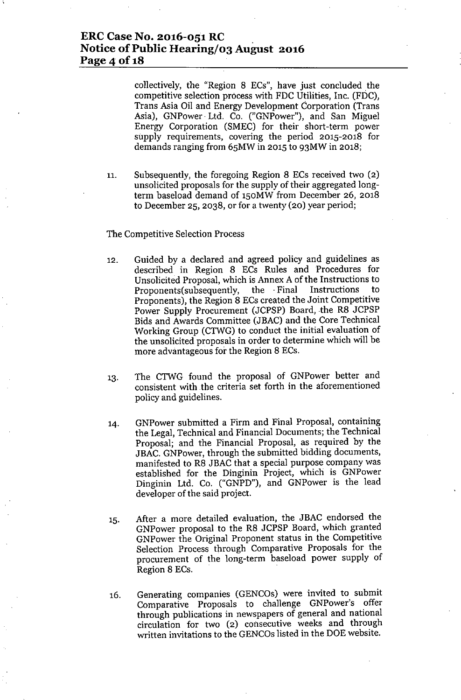## **ERCCase No. 2016-051 RC Notice of Public Hearing/03 August 2016 Page 4 of 18**

collectively, the "Region 8 ECs", have just concluded the competitive selection process with FDC Utilities, Inc. (FDC), Trans Asia Oil and Energy Development Corporation (Trans Asia), GNPower. Ltd. Co. ("GNPower"), and San Miguel Energy Corporation (SMEC) for their short-term power supply requirements, covering the period 2015-2018 for demands ranging from 65MW in 2015 to 93MW in 2018;

11. Subsequently, the foregoing Region 8 ECs received two (2) unsolicited proposals for the supply of their aggregated longterm baseload demand of 150MW from December 26, 2018 to December 25, 2038, or for a twenty (20) year period;

#### The Competitive Selection Process

- 12. Guided by a declared and agreed policy and guidelines as described in Region 8 ECs Rules and Procedures for Unsolicited Proposal, which is Annex A of the Instructions to Proponents(subsequently, the . Final Instructions to Proponents), the Region 8 ECs created the Joint Competitive Power Supply Procurement (JCPSP) Board, the R8 JCPSP Bids and Awards Committee (JBAC) and the Core Technical Working Group (CTWG) to conduct the initial evaluation of the unsolicited proposals in order to determine which will be more advantageous for the Region 8 ECs.
- 13. The CTWG found the proposal of GNPower better and consistent with the criteria set forth in the aforementioned policy and guidelines.
- 14. GNPower submitted a Firm and Final Proposal, containing the Legal, Technical and Financial Documents; the Technical Proposal; and the Financial Proposal, as required by the JBAC. GNPower, through the submitted bidding documents, manifested to R8 JBAC that a special purpose company was established for the Dinginin Project, which is GNPower Dinginin Ltd. Co. ("GNPD"), and GNPower is the lead developer of the said project.
- 15. After a more detailed evaluation, the JBAC endorsed the GNPower proposal to the R8 JCPSP Board, which granted GNPower the Original Proponent status in the Competitive Selection Process through Comparative Proposals for the procurement of the long-term baseload power supply of Region 8 ECs.
- 16. Generating companies (GENCOs) were invited to submit Comparative Proposals to challenge GNPower's offer through publications in newspapers of general and national circulation for two (2) consecutive weeks and through written invitations to the GENCOs listed in the DOE website.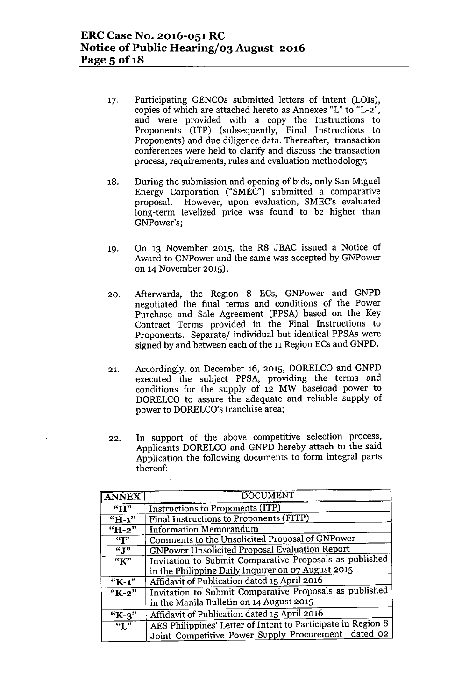- 17. Participating GENCOs submitted letters of intent (LOIs), copies of which are attached hereto as Annexes "L" to "L-2", and were provided with a copy the Instructions to Proponents (ITP) (subsequently, Final Instructions to Proponents) and due diligence data. Thereafter, transaction conferences were held to clarify and discuss the transaction process, requirements, rules and evaluation methodology;
- 18. During the submission and opening of bids, only San Miguel Energy Corporation ("SMEC") submitted a comparative proposal. However, upon evaluation, SMEC's evaluated long-term levelized price was found to be higher than GNPower's;
- 19. On 13 November 2015, the R8 JBAC issued a Notice of Award to GNPower and the same was accepted by GNPower on 14November 2015);
- 20. Afterwards, the Region 8 ECs, GNPower and GNPD negotiated the final terms and conditions of the Power Purchase and Sale Agreement (PPSA) based on the Key Contract Terms provided in the Final Instructions to Proponents. Separate/ individual but identical PPSAs were signed by and between each of the 11 Region ECs and GNPD.
- 21. Accordingly, on December 16, 2015, DORELCO and GNPD executed the subject PPSA, providing the terms and conditions for the supply of 12 MW baseload power to DORELCO to assure the adequate and reliable supply of power to DORELCO's franchise area;
- 22. In support of the above competitive selection process, Applicants DORELCO and GNPD hereby attach to the said Application the following documents to form integral parts thereof:

| <b>ANNEX</b>       | <b>DOCUMENT</b>                                              |  |
|--------------------|--------------------------------------------------------------|--|
| "H"                | Instructions to Proponents (ITP)                             |  |
| $\overline{H-1}$   | Final Instructions to Proponents (FITP)                      |  |
| $\overline{H}$ -2" | <b>Information Memorandum</b>                                |  |
| $\overline{``T"}$  | Comments to the Unsolicited Proposal of GNPower              |  |
| $\overline{``J"}$  | GNPower Unsolicited Proposal Evaluation Report               |  |
| $\overline{K''}$   | Invitation to Submit Comparative Proposals as published      |  |
|                    | in the Philippine Daily Inquirer on 07 August 2015           |  |
| "K-1"              | Affidavit of Publication dated 15 April 2016                 |  |
| "K-2"              | Invitation to Submit Comparative Proposals as published      |  |
|                    | in the Manila Bulletin on 14 August 2015                     |  |
| " $K-3$ "          | Affidavit of Publication dated 15 April 2016                 |  |
| $\overline{``I''}$ | AES Philippines' Letter of Intent to Participate in Region 8 |  |
|                    | Joint Competitive Power Supply Procurement dated 02          |  |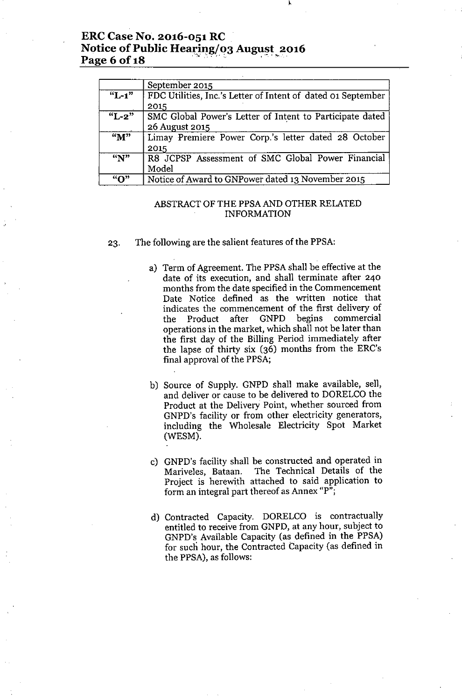## **ERCCase No. 2016-051 RC Notice** of Public **Heafing/o3 August 2016 Page 6** of 18

|                      | September 2015                                               |  |
|----------------------|--------------------------------------------------------------|--|
| $\overline{``L-1''}$ | FDC Utilities, Inc.'s Letter of Intent of dated 01 September |  |
|                      | 2015                                                         |  |
| $\overline{``L-2"}$  | SMC Global Power's Letter of Intent to Participate dated     |  |
|                      | 26 August 2015                                               |  |
| $\overline{M''}$     | Limay Premiere Power Corp.'s letter dated 28 October         |  |
|                      | 2015                                                         |  |
| $\overline{N}$       | R8 JCPSP Assessment of SMC Global Power Financial            |  |
|                      | Model                                                        |  |
| ``O"                 | Notice of Award to GNPower dated 13 November 2015            |  |

### ABSTRACT OF THE PPSA AND OTHER RELATED INFORMATION

23, The following are the salient features of the PPSA:

- a) Term of Agreement, The PPSA shall be effective at the date of its execution, and shall terminate after 240 months from the date specified in the Commencement Date Notice defined as the written notice that indicates the commencement of the first delivery of the Product after GNPD begins commercial operations in the market, which shall not be later than the first day of the Billing Period immediately after the lapse of thirty six (36) months from the ERC's final approval of the PPSA;
- b) Source of Supply, GNPD shall make available, sell, and deliver or cause to be delivered to DORELCO the Product at the Delivery Point, whether sourced from GNPD's facility or from other electricity generators, including the Wholesale Electricity Spot Market (WESM),
- c) GNPD's facility shall be constructed and operated in Mariveles, Bataan, The Technical Details of the Project is herewith attached to said application to form an integral part thereof as Annex "p";
- d) Contracted Capacity, DORELCO is contractually entitled to receive from GNPD, at any hour, subject to GNPD's Available Capacity (as defined in the PPSA) for such hour, the Contracted Capacity (as defined in the PPSA), as follows: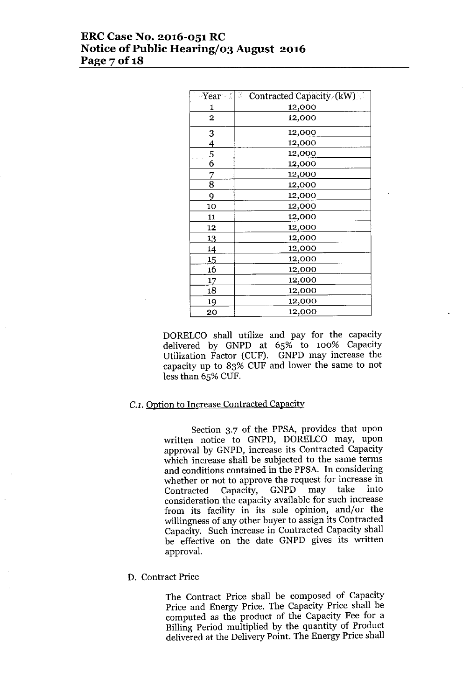## **ERCCase No. 2016-051 RC Notice** of Public **Hearing/03 August 2016 Page 70f18**

|                | $\exists$ Year $\le$ $  z  $ Contracted Capacity (kW) |
|----------------|-------------------------------------------------------|
| 1              | 12,000                                                |
| $\overline{2}$ | 12,000                                                |
| 3              | 12,000                                                |
| 4              | 12,000                                                |
| 5              | 12,000                                                |
| 6              | 12,000                                                |
| 7              | 12,000                                                |
| 8              | 12,000                                                |
| 9              | 12,000                                                |
| 10             | 12,000                                                |
| 11             | 12,000                                                |
| 12             | 12,000                                                |
| 13             | 12,000                                                |
| 14             | 12,000                                                |
| 15             | 12,000                                                |
| 16             | 12,000                                                |
| 17             | 12,000                                                |
| 18             | 12,000                                                |
| 19             | 12,000                                                |
| 20             | 12,000                                                |

DORELCO shall utilize and pay for the capacity delivered by GNPD at 65% to 100% Capacity Utilization Factor (CUF). GNPD may increase the capacity up to 83% CUF and lower the same to not less than 65% CUF.

### *C.l.* Option to Increase Contracted Capacity

Section 3.7 of the PPSA, provides that upon written notice to GNPD, DORELCO may, upon approval by GNPD, increase its Contracted Capacity which increase shall be subjected to the same terms and conditions contained in the PPSA. In considering whether or not to approve the request for increase in<br>Contracted Capacity. GNPD may take into Contracted Capacity, GNPD may take into consideration the capacity available for such increase from its facility in its sole opinion, and/or the willingness of any other buyer to assign its Contracted Capacity, Such increase in Contracted Capacity shall be effective on the date GNPD gives its written approval.

#### D. Contract Price

The Contract Price shall be composed of Capacity Price and Energy Price, The Capacity Price shall be computed as the product of the Capacity Fee for a Billing Period multiplied by the quantity of Product delivered at the Delivery Point. The Energy Price shall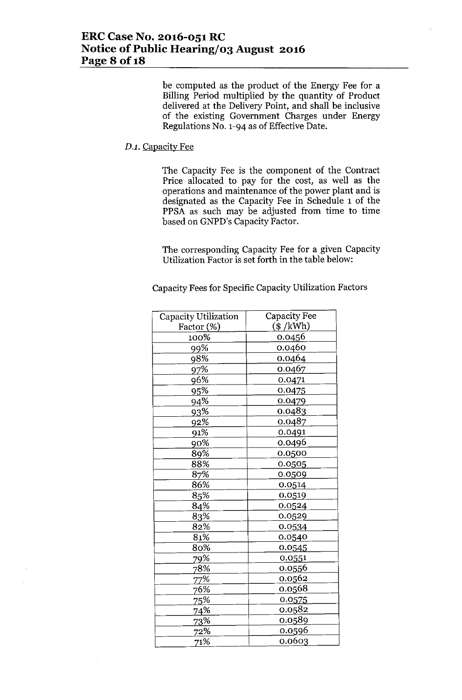be computed as the product of the Energy Fee for a Billing Period multiplied by the quantity of Product delivered at the Delivery Point, and shall be inclusive of the existing Government Charges under Energy Regulations No. 1-94 as of Effective Date.

### *D.l.* Capacity Fee

The Capacity Fee is the component of the Contract Price allocated to pay for the cost, as well as the operations and maintenance of the power plant and is designated as the Capacity Fee in Schedule 1 of the PPSA as such may be adjusted from time to time based on GNPD's Capacity Factor.

The corresponding Capacity Fee for a given Capacity Utilization Factor is set forth in the table below:

Capacity Fees for Specific Capacity Utilization Factors

| Capacity Utilization | Capacity Fee |
|----------------------|--------------|
| Factor (%)           | $(\$ /kWh)$  |
| 100%                 | 0.0456       |
| 99%                  | 0.0460       |
| 98%                  | 0.0464       |
| 97%                  | 0.0467       |
| 96%                  | 0.0471       |
| 95%                  | 0.0475       |
| 94%                  | 0.0479       |
| 93%                  | 0.0483       |
| 92%                  | 0.0487       |
| 91%                  | 0.0491       |
| 90%                  | 0.0496       |
| 89%                  | 0.0500       |
| 88%                  | 0.0505       |
| 87%                  | 0.0509       |
| 86%                  | 0.0514       |
| 85%                  | 0.0519       |
| 84%                  | 0.0524       |
| 83%                  | 0.0529       |
| 82%                  | 0.0534       |
| 81%                  | 0.0540       |
| 80%                  | 0.0545       |
| 79%                  | 0.0551       |
| 78%                  | 0.0556       |
| 77%                  | 0.0562       |
| 76%                  | 0.0568       |
| <u>75%</u>           | 0.0575       |
| 74%                  | 0.0582       |
| <u>73</u> %          | 0.0589       |
| 72%                  | 0.0596       |
| 71%                  | 0.0603       |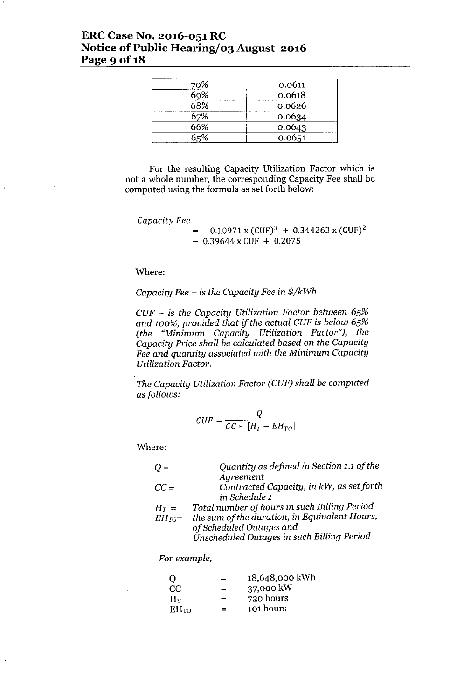## **ERCCase No. 2016-051 RC Notice** of Public **Hearing/03 August 2016 Page** 9 of 18

| 70% | 0.0611 |
|-----|--------|
| 69% | 0.0618 |
| 68% | 0.0626 |
| 67% | 0.0634 |
| 66% | 0.0643 |
| 65% | 0.0651 |

For the resulting Capacity Utilization Factor which is not a whole number, the corresponding Capacity Fee shall be computed using the formula as set forth below:

*Capacity Fee*

 $=$  - 0.10971 x (CUF)<sup>3</sup> + 0.344263 x (CUF)<sup>2</sup>  $-$  0.39644 x CUF + 0.2075

Where:

*Capacity Fee -* is *the Capacity Fee* in *\$/kWh*

*CUF -* is *the Capacity Utilization Factor between 65% and 100%, provided that if the actual CUF* is *below 65% (the "Minimum Capacity Utilization Factor"), the Capacity Price shall be calculated based* on *the Capacity Fee and quantity associated with the Minimum Capacity Utilization Factor.*

*The Capacity Utilization Factor (CUF) shall be computed asfollows:*

$$
CUF = \frac{Q}{CC * [H_T - EH_{TO}]}
$$

Where:

| $Q =$  | Quantity as defined in Section 1.1 of the         |
|--------|---------------------------------------------------|
|        | Agreement                                         |
| $CC =$ | Contracted Capacity, in kW, as set forth          |
|        | in Schedule 1                                     |
|        | $Total = the in of known in each Bill in a David$ |

- $H_T =$ *EHro= Total number of hours* in *such Billing Period the sum of the duration,* in *Equivalent Hours, of Scheduled Outages and*
	- *Unscheduled Outages* in *such Billing Period*

*For example,*

| O                | $=$ | 18,648,000 kWh |
|------------------|-----|----------------|
| CC               | $=$ | 37,000 kW      |
| $H_T$            | $=$ | 720 hours      |
| EH <sub>TO</sub> | $=$ | 101 hours      |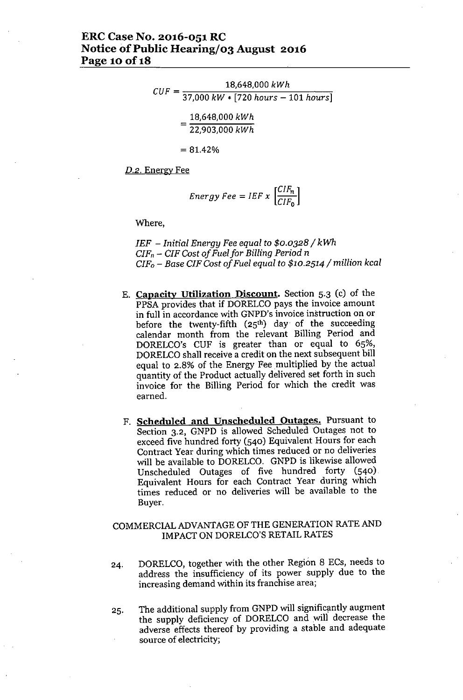$$
CUF = \frac{18,648,000 \; kWh}{37,000 \; kW * [720 \; hours - 101 \; hours]}
$$
  
18,648,000 \; kWh

 $=\frac{18,648,000 \; kW}{22,903,000 \; kW}$ 

 $= 81.42%$ 

*D.2.* Energy Fee

$$
Energy\,Fee = IEF \times \left[\frac{CIF_n}{CIF_0}\right]
$$

Where,

*IEF - Initial Energy Fee equal* to *\$0.0328/ kWh*  $CIF<sub>n</sub>$  -  $CIF$  Cost of Fuel for Billing Period *n CIFo - Base CIF Cost of Fuel equal* to *\$10.2514/ million kcal*

- E. **Capacity Utilization Disconnt.** Section 5.3 (c) of the PPSA provides that if DORELCO pays the invoice amount in full in accordance with GNPD's invoice instruction on or before the twenty-fifth  $(25<sup>th</sup>)$  day of the succeeding calendar month from the relevant Billing Period and DORELCO's CUF is greater than or equal to 65%, DORELCO shall receive a credit on the next subsequent bill equal to 2.8% of the Energy Fee multiplied by the actual quantity of the Product actually delivered set forth in such invoice for the Billing Period for which the credit was earned.
- F. **Scheduled and Unscheduled Outages.** Pursuant to Section 3.2, GNPD is allowed Scheduled Outages not to exceed five hundred forty (540) Equivalent Hours for each Contract Year during which times reduced or no deliveries will be available to DORELCO. GNPD is likewise allowed Unscheduled Outages of five hundred forty (540) Equivalent Hours for each Contract Year during which times reduced or no deliveries will be available to the Buyer.

### COMMERCIAL ADVANTAGE OF THE GENERATION RATE AND IMPACT ON DORELCO'S RETAIL RATES

- 24. DORELCO, together with the other Region 8 ECs, needs to address the insufficiency of its power supply due to the increasing demand within its franchise area;
- 25. The additional supply from GNPD will significantly augment the supply deficiency of DORELCO and will decrease the adverse effects thereof by providing a stable and adequate source of electricity;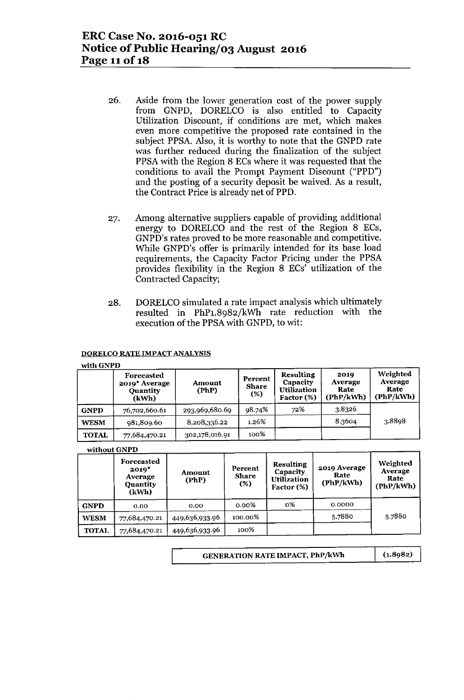- 26. Aside from the lower generation cost of the power supply from GNPD, DORELCO is also entitled to Capacity Utilization Discount, if conditions are met, which makes even more competitive the proposed rate contained in the subject PPSA. Also, it is worthy to note that the GNPD rate was further reduced during the finalization of the subject PPSA with the Region 8 ECs where it was requested that the conditions to avail the Prompt Payment Discount ("PPD") and the posting of a security deposit be waived. As a result, the Contract Price is already net of PPD.
- 27. Among alternative suppliers capable of providing additional energy to DORELCO and the rest of the Region 8 ECs, GNPD's rates proved to be more reasonable and competitive. While GNPD's offer is primarily intended for its base load requirements, the Capacity Factor Pricing under the PPSA provides flexibility in the Region 8 ECs' utilization of the Contracted Capacity;
- 28. DORELCO simulated a rate impact analysis which ultimately resulted in PhP1.8982/kWh rate reduction with the execution of the PPSAwith GNPD, to wit:

#### DORELCO RATE IMPACT ANALYSIS

#### with GNPD

|              | Forecasted<br>2019* Average<br><b>Quantity</b><br>(kWh) | Amount<br>(PhP) | Percent<br><b>Share</b><br>$(\%)$ | <b>Resulting</b><br>Capacity<br>Utilization<br>Factor (%) | 2019<br>Average<br>Rate<br>(PhP/kWh) | Weighted<br>Average<br>Rate<br>(PhP/kWh) |
|--------------|---------------------------------------------------------|-----------------|-----------------------------------|-----------------------------------------------------------|--------------------------------------|------------------------------------------|
| <b>GNPD</b>  | 76,702,660.61                                           | 293,969,680.69  | 98.74%                            | 72%                                                       | 38326                                |                                          |
| <b>WESM</b>  | 981,809.60                                              | 8,208,336.22    | 1.26%                             |                                                           | 8.3604                               | 3.8898                                   |
| <b>TOTAL</b> | 77,684,470.21                                           | 302,178,016.91  | 100%                              |                                                           |                                      |                                          |

#### without GNPD

|              | Forecasted<br>$2019*$<br>Average<br><b>Quantity</b><br>(kWh) | Amount<br>(PhP) | Percent<br>Share<br>(%) | <b>Resulting</b><br>Capacity<br>Utilization<br>Factor (%) | 2019 Average<br>Rate<br>(PhP/kWh) | Weighted<br>Average<br>Rate<br>(PhP/kWh) |
|--------------|--------------------------------------------------------------|-----------------|-------------------------|-----------------------------------------------------------|-----------------------------------|------------------------------------------|
| <b>GNPD</b>  | 0.00                                                         | 0.00            | $0.00\%$                | 0%                                                        | 0.0000                            |                                          |
| <b>WESM</b>  | 77,684,470.21                                                | 449,636,933.96  | 100.00%                 |                                                           | 5.7880                            | 5.7880                                   |
| <b>TOTAL</b> | 77,684,470.21                                                | 449,636,933.96  | 100%                    |                                                           |                                   |                                          |

GENERATION RATE IMPACT, PhP/kWh**itch (1.8982)** '----------------------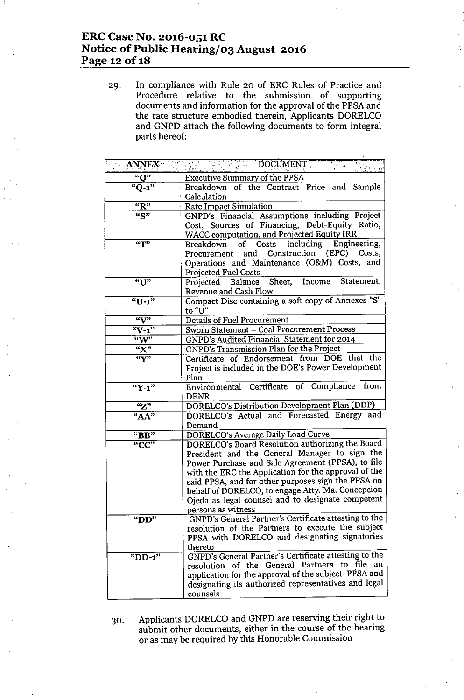## **ERC Case No. 2016-051 RC Notice of Public Hearing/o3 August 2016 Page 12** of **18**

29. In compliance with Rule 20 of ERC Rules of Practice and Procedure relative to the submission of supporting documents and information for the approval of the PPSA and the rate structure embodied therein, Applicants DORELCO and GNPD attach the following documents to form integral parts hereof:

| <b>ANNEX</b>       | DOCUMENT                                                                                                                                                                                                                                                                                                                                                                                             |
|--------------------|------------------------------------------------------------------------------------------------------------------------------------------------------------------------------------------------------------------------------------------------------------------------------------------------------------------------------------------------------------------------------------------------------|
| $\overline{N}$     | <b>Executive Summary of the PPSA</b>                                                                                                                                                                                                                                                                                                                                                                 |
| $"Q-1"$            | Breakdown of the Contract Price and Sample                                                                                                                                                                                                                                                                                                                                                           |
|                    | Calculation                                                                                                                                                                                                                                                                                                                                                                                          |
| "R"                | Rate Impact Simulation                                                                                                                                                                                                                                                                                                                                                                               |
| $\overline{S}$     | GNPD's Financial Assumptions including Project<br>Cost, Sources of Financing, Debt-Equity Ratio,<br>WACC computation, and Projected Equity IRR                                                                                                                                                                                                                                                       |
| $\overline{N}$     | including Engineering,<br>of Costs<br>Breakdown<br>Procurement and Construction (EPC) Costs,<br>Operations and Maintenance (O&M) Costs, and<br><b>Projected Fuel Costs</b>                                                                                                                                                                                                                           |
| "U"                | Projected Balance Sheet, Income Statement,<br>Revenue and Cash Flow                                                                                                                                                                                                                                                                                                                                  |
| "U-1"              | Compact Disc containing a soft copy of Annexes "S"<br>to "U"                                                                                                                                                                                                                                                                                                                                         |
| $\mathbf{w}$       | <b>Details of Fuel Procurement</b>                                                                                                                                                                                                                                                                                                                                                                   |
| $W-1$              | Sworn Statement - Coal Procurement Process                                                                                                                                                                                                                                                                                                                                                           |
| $W^{\prime\prime}$ | GNPD's Audited Financial Statement for 2014                                                                                                                                                                                                                                                                                                                                                          |
| "X"                | GNPD's Transmission Plan for the Project                                                                                                                                                                                                                                                                                                                                                             |
| $\mathbf{w}$       | Certificate of Endorsement from DOE that the<br>Project is included in the DOE's Power Development<br>Plan                                                                                                                                                                                                                                                                                           |
| "Y-1"              | Environmental Certificate of Compliance from<br><b>DENR</b>                                                                                                                                                                                                                                                                                                                                          |
| "Z"                | DORELCO's Distribution Development Plan (DDP)                                                                                                                                                                                                                                                                                                                                                        |
| "AA"               | DORELCO's Actual and Forecasted Energy and<br>Demand                                                                                                                                                                                                                                                                                                                                                 |
| "BB"               | DORELCO's Average Daily Load Curve                                                                                                                                                                                                                                                                                                                                                                   |
| "CC"               | DORELCO's Board Resolution authorizing the Board<br>President and the General Manager to sign the<br>Power Purchase and Sale Agreement (PPSA), to file<br>with the ERC the Application for the approval of the<br>said PPSA, and for other purposes sign the PPSA on<br>behalf of DORELCO, to engage Atty. Ma. Concepcion<br>Ojeda as legal counsel and to designate competent<br>persons as witness |
| " $DD"$            | GNPD's General Partner's Certificate attesting to the<br>resolution of the Partners to execute the subject<br>PPSA with DORELCO and designating signatories<br>thereto                                                                                                                                                                                                                               |
| "DD-1"             | GNPD's General Partner's Certificate attesting to the<br>resolution of the General Partners to file<br>an<br>application for the approval of the subject PPSA and<br>designating its authorized representatives and legal<br>counsels                                                                                                                                                                |

30. Applicants DORELCO and GNPD are reserving their right to submit other documents, either in the course of the hearing or as may be required by this Honorable Commission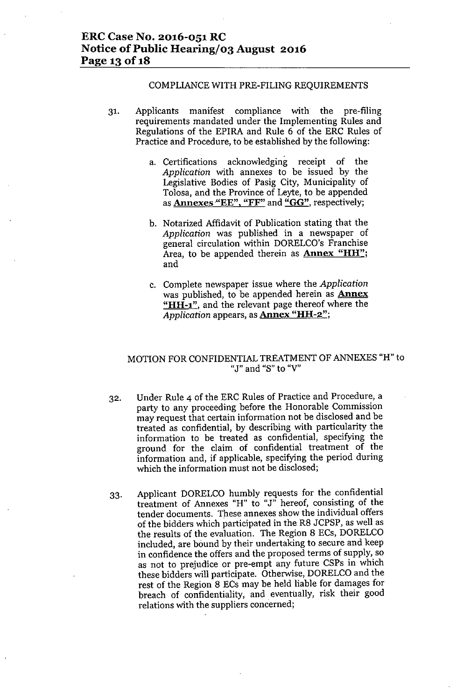### ERC Case No. 2016-051 RC Notice of Public Hearing/03 August 2016 Page 13 of 18

#### COMPLIANCE WITH PRE-FILING REQUIREMENTS

- 31. Applicants manifest compliance with the pre-filing requirements mandated under the Implementing Rules and Regulations of the EPlRA and Rule 6 of the ERC Rules of Practice and Procedure, to be established by the following:
	- a. Certifications acknowledging receipt of the *Application* with annexes to be issued by the Legislative Bodies of Pasig City, Municipality of Tolosa, and the Province of Leyte, to be appended as Annexes "EE", "FF" and " $GG$ ", respectively;
	- b. Notarized Affidavit of Publication stating that the *Application* was published in a newspaper of general circulation within DORELCO's Franchise Area, to be appended therein as **Annex "HH"**; and
	- c. Complete newspaper issue where the *Application* was published, to be appended herein as **Annex** "HH-1", and the relevant page thereof where the *Application* appears, as **Annex "HH-2"**;

### MOTION FOR CONFIDENTIALTREATMENT OF ANNEXES "H" to "J" **and** "S" **to** "V"

- 32. Under Rule 4 of the ERC Rules of Practice and Procedure, a party to any proceeding before the Honorable Commission may request that certain information not be disclosed and be treated as confidential, by describing with particularity the information to be treated as confidential, specifying the ground for the claim of confidential treatment of the information and, if applicable, specifying the period during which the information must not be disclosed;
- 33. Applicant DORELCO humbly requests for the confidential treatment of Annexes "H" to "J" hereof, consisting of the tender documents. These annexes show the individual offers of the bidders which participated in the R8 JCPSP, as well as the results of the evaluation. The Region 8 ECs, DORELCO included, are bound by their undertaking to secure and keep in confidence the offers and the proposed terms of supply, so as not to prejudice or pre-empt any future CSPs in which these bidders will participate. Otherwise, DORELCO and the rest of the Region 8 ECs may be held liable for damages for breach of confidentiality, and eventually, risk their good relations with the suppliers concerned;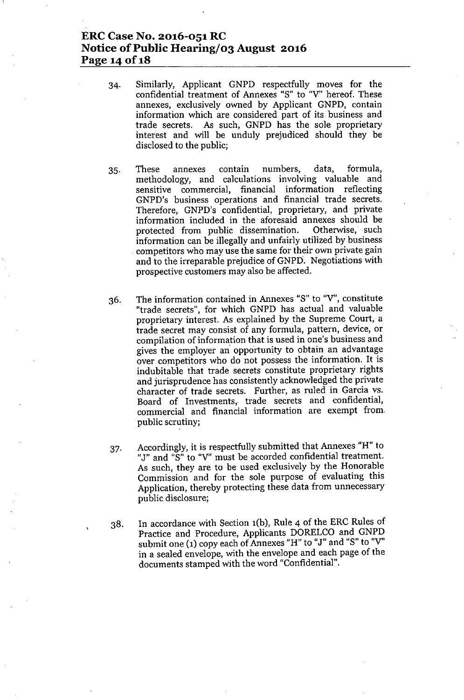## **ERCCase No. 2016-051 RC Notice** of Public **Hearing/03 August 2016 Page 14 Of1S**

- 34. Similarly, Applicant GNPD respectfully moves for the confidential treatment of Annexes "S" to *"V'* hereof. These annexes, exclusively owned by Applicant GNPD, contain information which are considered part of its business and trade secrets. As such, GNPD has the sole proprietary interest and will be unduly prejudiced should they be disclosed to the public;
- 35. These annexes contain numbers, data, formula, methodology, and calculations involving valuable and sensitive commercial, financial information reflecting GNPD's business operations and financial trade secrets. Therefore, GNPD's confidential, proprietary, and private information included in the aforesaid annexes should be protected from public dissemination. information can be illegally and unfairly utilized by business . competitors who may use the same for their own private gain and to the irreparable prejudice of GNPD. Negotiations with prospective customers may also be affected.
- 36. The information contained in Annexes "S" to *"V',* constitute "trade secrets", for which GNPD has actual and valuable proprietary interest. As explained by the Supreme Court, a trade secret may consist of any formula, pattern, device, or compilation of information that is used in one's business and gives the employer an' opportunity to obtain an advantage over competitors who do not possess the information. It is indubitable that trade secrets constitute proprietary rights and jurisprudence has consistently acknowledged the private character of trade secrets. Further, as ruled in Garcia vs. Board of Investments, trade secrets and confidential, commercial and financial information are exempt from. public scrutiny;
- 37. Accordingly, it is respectfully submitted that Annexes "H" to "J" and "S" to "V" must be accorded confidential treatment. As such, they are to be used exclusively by the Honorable Commission and for the sole purpose of evaluating this Application, thereby protecting these data from unnecessary public disclosure;
- 38. In accordance with Section 1(b), Rule 4 of the ERC Rules of Practice and Procedure, Applicants DORELCO and GNPD submit one (1) copy each of Annexes "H" to "J" and "S" to *"V'* in a sealed envelope, with the envelope and each page of the documents stamped with the word "Confidential".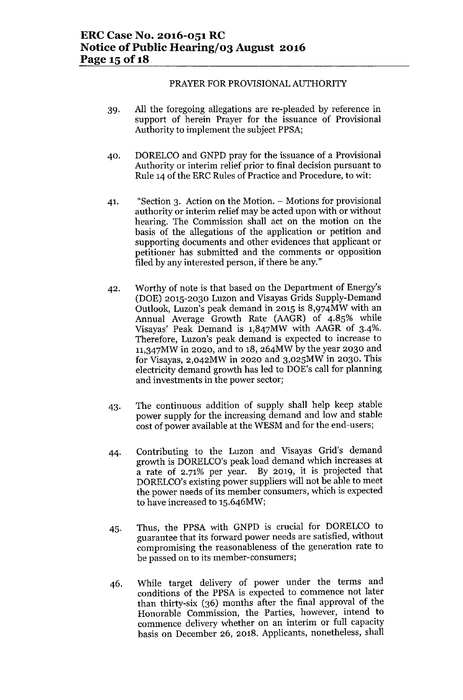### PRAYER FOR PROVISIONAL AUTHORITY

- 39. All the foregoing allegations are re-pleaded by reference in support of herein Prayer for the issuance of Provisional Authority to implement the subject PPSA;
- 40. DORELCO and GNPD pray for the issuance of a Provisional Authority or interim relief prior to final decision pursuant to Rule 14 of the ERC Rules of Practice and Procedure, to wit:
- 41. "Section 3. Action on the Motion. Motions for provisional authority or interim relief may be acted upon with or without hearing. The Commission shall act on the motion on the basis of the allegations of the application or petition and supporting documents and other evidences that applicant or petitioner has submitted and the comments or opposition filed by any interested person, if there be any."
- 42. Worthy of note is that based on the Department of Energy's (DOE) 2015-2030 Luzon and Visayas Grids Supply-Demand Outlook, Luzon's peak demand in 2015 is 8,974MW with an Annual Average Growth Rate (AAGR) of 4.85% while Visayas' Peak Demand is 1,847MW with AAGR of 3-4%. Therefore, Luzon's peak demand is expected to increase to 1l,347MW in 2020, and to 18, 264MW by the year 2030 and for Visayas, 2,042MW in 2020 and 3,025MW in 2030. This electricity demand growth has led to DOE's call for planning and investments in the power sector;
- 43. The continuous addition of supply shall help keep stable power supply for the increasing demand and low and stable cost of power available at the WESM and for the end-users;
- 44. Contributing to the Luzon and Visayas Grid's demand growth is DORELCO's peak load demand which increases at a rate of 2.71% per year. By 2019, it is projected that DORELCO's existing power suppliers will not be able to meet the power needs of its member consumers, which is expected to have increased to 15.646MW;
- 45. Thus, the PPSA with GNPD is crucial for DORELCO to guarantee that its forward power needs are satisfied, without compromising the reasonableness of the generation rate to be passed on to its member-consumers;
- 46. While target delivery of power under the terms and conditions of the PPSA is expected to commence not later than thirty-six (36) months after the final approval of the Honorable Commission, the Parties, however, intend to commence delivery whether on an interim or full capacity basis on December 26, 2018. Applicants, nonetheless, shall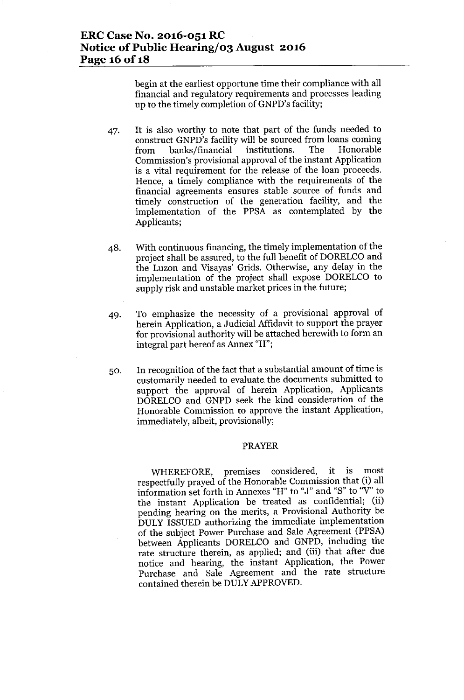### **ERCCase No. 2016-051 RC Notice** of Public **Hearing/03 August 2016 Page 16** of IS

begin at the earliest opportune time their compliance with all financial and regulatory requirements and processes leading up to the timely completion of GNPD's facility;

- 47. It is also worthy to note that part of the funds needed to construct GNPD's facility will be sourced from loans coming from banks/financial institutions. The Honorable Commission's provisional approval of the instant Application is a vital requirement for the release of the loan proceeds. Hence, a timely compliance with the requirements of the financial agreements ensures stable source of funds and timely construction of the generation facility, and the implementation of the PPSA as contemplated by the Applicants;
- 48. With continuous financing, the timely implementation of the project shall be assured, to the full benefit of DORELCO and the Luzon and Visayas' Grids. Otherwise, any delay in the implementation of the project shall expose DORELCO to supply risk and unstable market prices in the future;
- 49. To emphasize the necessity of a provisional approval of herein Application, a Judicial Affidavit to support the prayer for provisional authority will be attached herewith to form an integral part hereof as Annex "II";
- 50. In recognition of the fact that a substantial amount of time is customarily needed to evaluate the documents submitted to support the approval of herein Application, Applicants DORELCO and GNPD seek the kind consideration of the Honorable Commission to approve the instant Application, immediately, albeit, provisionally;

#### PRAYER

WHEREFORE, premises considered, it is most respectfully prayed of the Honorable Commission that (i) all information set forth in Annexes "H" to "J" and "S" to "V" to the instant Application be treated as confidential; (ii) pending hearing on the merits, a Provisional Authority be DULY ISSUED authorizing the immediate implementation of the subject Power Purchase and Sale Agreement (PPSA) between Applicants DORELCO and GNPD, including the rate structure therein, as applied; and (iii) that after due notice and hearing, the instant Application, the Power Purchase and Sale Agreement and the rate structure contained therein be DULY APPROVED.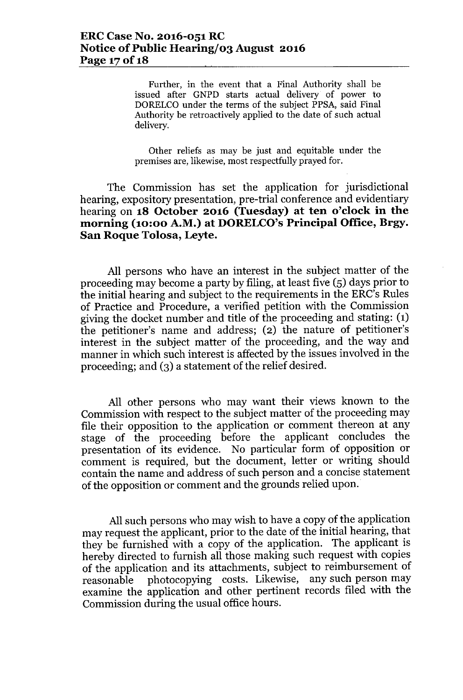Further, in the event that a Final Authority shall be issued after GNPD starts actual delivery of power to DORELCO under the terms of the subject PPSA, said Final Authority be retroactively applied to the date of such actual delivery.

Other reliefs as may be just and equitable under the premises are, likewise, most respectfully prayed for.

The Commission has set the application for jurisdictional hearing, expository presentation, pre-trial conference and evidentiary hearing on **18 October 2016 (Tuesday) at ten o'clock in the morning (10:00 A.M.) at DORELCO'sPrincipal Office, Brgy. San Roque Tolosa, Leyte.**

All persons who have an interest in the subject matter of the proceeding may become a party by filing, at least five (5) days prior to the initial hearing and subject to the requirements in the ERC's Rules of Practice and Procedure, a verified petition with the Commission giving the docket number and title of the proceeding and stating: (1) the petitioner's name and address; (2) the nature of petitioner's interest in the subject matter of the proceeding, and the way and manner in which such interest is affected by the issues involved in the proceeding; and (3) a statement of the relief desired.

All other persons who may want their views known to the Commission with respect to the subject matter of the proceeding may file their opposition to the application or comment thereon at any stage of the proceeding before the applicant concludes the presentation of its evidence. No particular form of opposition or comment is required, but the document, letter or writing should contain the name and address of such person and a concise statement of the opposition or comment and the grounds relied upon.

All such persons who may wish to have a copy of the application may request the applicant, prior to the date of the initial hearing, that they be furnished with a copy of the application. The applicant is hereby directed to furnish all those making such request with copies of the application and its attachments, subject to reimbursement of reasonable photocopying costs. Likewise, any such person may examine the application and other pertinent records filed with the Commission during the usual office hours.